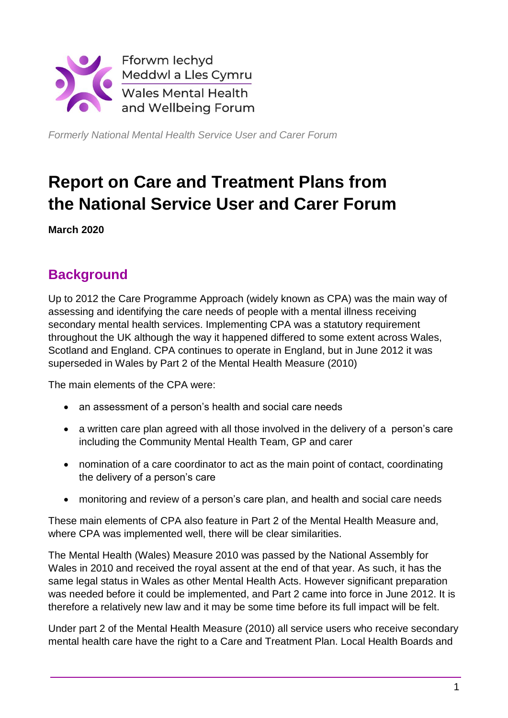

*Formerly National Mental Health Service User and Carer Forum*

# **Report on Care and Treatment Plans from the National Service User and Carer Forum**

**March 2020**

# **Background**

Up to 2012 the Care Programme Approach (widely known as CPA) was the main way of assessing and identifying the care needs of people with a mental illness receiving secondary mental health services. Implementing CPA was a statutory requirement throughout the UK although the way it happened differed to some extent across Wales, Scotland and England. CPA continues to operate in England, but in June 2012 it was superseded in Wales by Part 2 of the Mental Health Measure (2010)

The main elements of the CPA were:

- an assessment of a person's health and social care needs
- a written care plan agreed with all those involved in the delivery of a person's care including the Community Mental Health Team, GP and carer
- nomination of a care coordinator to act as the main point of contact, coordinating the delivery of a person's care
- monitoring and review of a person's care plan, and health and social care needs

These main elements of CPA also feature in Part 2 of the Mental Health Measure and, where CPA was implemented well, there will be clear similarities.

The Mental Health (Wales) Measure 2010 was passed by the National Assembly for Wales in 2010 and received the royal assent at the end of that year. As such, it has the same legal status in Wales as other Mental Health Acts. However significant preparation was needed before it could be implemented, and Part 2 came into force in June 2012. It is therefore a relatively new law and it may be some time before its full impact will be felt.

Under part 2 of the Mental Health Measure (2010) all service users who receive secondary mental health care have the right to a Care and Treatment Plan. Local Health Boards and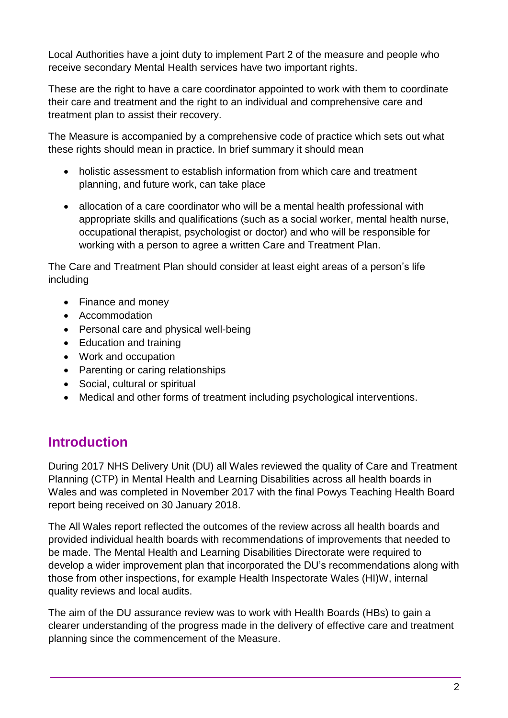Local Authorities have a joint duty to implement Part 2 of the measure and people who receive secondary Mental Health services have two important rights.

These are the right to have a care coordinator appointed to work with them to coordinate their care and treatment and the right to an individual and comprehensive care and treatment plan to assist their recovery.

The Measure is accompanied by a comprehensive code of practice which sets out what these rights should mean in practice. In brief summary it should mean

- holistic assessment to establish information from which care and treatment planning, and future work, can take place
- allocation of a care coordinator who will be a mental health professional with appropriate skills and qualifications (such as a social worker, mental health nurse, occupational therapist, psychologist or doctor) and who will be responsible for working with a person to agree a written Care and Treatment Plan.

The Care and Treatment Plan should consider at least eight areas of a person's life including

- Finance and money
- Accommodation
- Personal care and physical well-being
- Education and training
- Work and occupation
- Parenting or caring relationships
- Social, cultural or spiritual
- Medical and other forms of treatment including psychological interventions.

# **Introduction**

During 2017 NHS Delivery Unit (DU) all Wales reviewed the quality of Care and Treatment Planning (CTP) in Mental Health and Learning Disabilities across all health boards in Wales and was completed in November 2017 with the final Powys Teaching Health Board report being received on 30 January 2018.

The All Wales report reflected the outcomes of the review across all health boards and provided individual health boards with recommendations of improvements that needed to be made. The Mental Health and Learning Disabilities Directorate were required to develop a wider improvement plan that incorporated the DU's recommendations along with those from other inspections, for example Health Inspectorate Wales (HI)W, internal quality reviews and local audits.

The aim of the DU assurance review was to work with Health Boards (HBs) to gain a clearer understanding of the progress made in the delivery of effective care and treatment planning since the commencement of the Measure.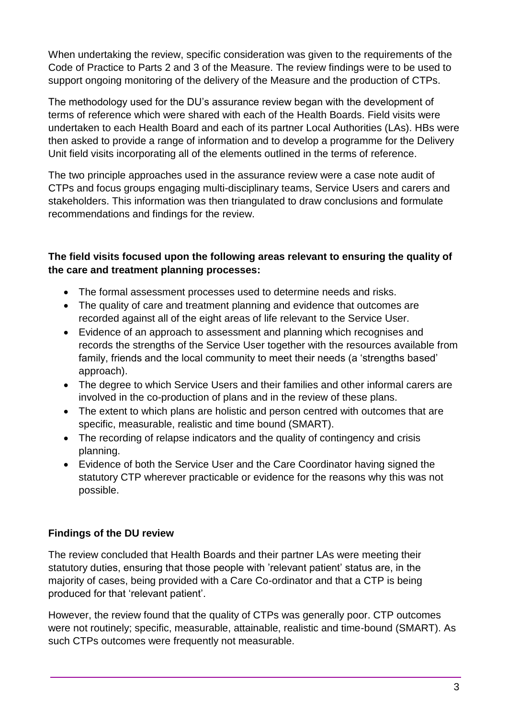When undertaking the review, specific consideration was given to the requirements of the Code of Practice to Parts 2 and 3 of the Measure. The review findings were to be used to support ongoing monitoring of the delivery of the Measure and the production of CTPs.

The methodology used for the DU's assurance review began with the development of terms of reference which were shared with each of the Health Boards. Field visits were undertaken to each Health Board and each of its partner Local Authorities (LAs). HBs were then asked to provide a range of information and to develop a programme for the Delivery Unit field visits incorporating all of the elements outlined in the terms of reference.

The two principle approaches used in the assurance review were a case note audit of CTPs and focus groups engaging multi-disciplinary teams, Service Users and carers and stakeholders. This information was then triangulated to draw conclusions and formulate recommendations and findings for the review.

### **The field visits focused upon the following areas relevant to ensuring the quality of the care and treatment planning processes:**

- The formal assessment processes used to determine needs and risks.
- The quality of care and treatment planning and evidence that outcomes are recorded against all of the eight areas of life relevant to the Service User.
- Evidence of an approach to assessment and planning which recognises and records the strengths of the Service User together with the resources available from family, friends and the local community to meet their needs (a 'strengths based' approach).
- The degree to which Service Users and their families and other informal carers are involved in the co-production of plans and in the review of these plans.
- The extent to which plans are holistic and person centred with outcomes that are specific, measurable, realistic and time bound (SMART).
- The recording of relapse indicators and the quality of contingency and crisis planning.
- Evidence of both the Service User and the Care Coordinator having signed the statutory CTP wherever practicable or evidence for the reasons why this was not possible.

## **Findings of the DU review**

The review concluded that Health Boards and their partner LAs were meeting their statutory duties, ensuring that those people with 'relevant patient' status are, in the majority of cases, being provided with a Care Co-ordinator and that a CTP is being produced for that 'relevant patient'.

However, the review found that the quality of CTPs was generally poor. CTP outcomes were not routinely; specific, measurable, attainable, realistic and time-bound (SMART). As such CTPs outcomes were frequently not measurable.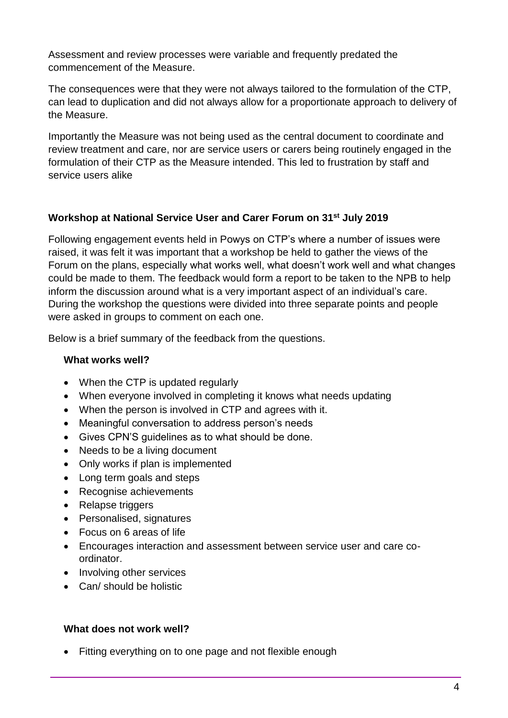Assessment and review processes were variable and frequently predated the commencement of the Measure.

The consequences were that they were not always tailored to the formulation of the CTP, can lead to duplication and did not always allow for a proportionate approach to delivery of the Measure.

Importantly the Measure was not being used as the central document to coordinate and review treatment and care, nor are service users or carers being routinely engaged in the formulation of their CTP as the Measure intended. This led to frustration by staff and service users alike

### **Workshop at National Service User and Carer Forum on 31st July 2019**

Following engagement events held in Powys on CTP's where a number of issues were raised, it was felt it was important that a workshop be held to gather the views of the Forum on the plans, especially what works well, what doesn't work well and what changes could be made to them. The feedback would form a report to be taken to the NPB to help inform the discussion around what is a very important aspect of an individual's care. During the workshop the questions were divided into three separate points and people were asked in groups to comment on each one.

Below is a brief summary of the feedback from the questions.

#### **What works well?**

- When the CTP is updated regularly
- When everyone involved in completing it knows what needs updating
- When the person is involved in CTP and agrees with it.
- Meaningful conversation to address person's needs
- Gives CPN'S guidelines as to what should be done.
- Needs to be a living document
- Only works if plan is implemented
- Long term goals and steps
- Recognise achievements
- Relapse triggers
- Personalised, signatures
- Focus on 6 areas of life
- Encourages interaction and assessment between service user and care coordinator.
- Involving other services
- Can/ should be holistic

#### **What does not work well?**

• Fitting everything on to one page and not flexible enough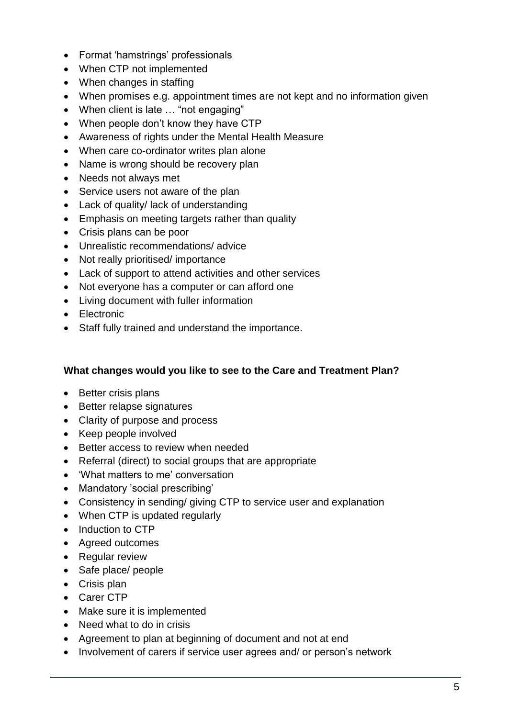- Format 'hamstrings' professionals
- When CTP not implemented
- When changes in staffing
- When promises e.g. appointment times are not kept and no information given
- When client is late … "not engaging"
- When people don't know they have CTP
- Awareness of rights under the Mental Health Measure
- When care co-ordinator writes plan alone
- Name is wrong should be recovery plan
- Needs not always met
- Service users not aware of the plan
- Lack of quality/ lack of understanding
- Emphasis on meeting targets rather than quality
- Crisis plans can be poor
- Unrealistic recommendations/ advice
- Not really prioritised/ importance
- Lack of support to attend activities and other services
- Not everyone has a computer or can afford one
- Living document with fuller information
- Electronic
- Staff fully trained and understand the importance.

#### **What changes would you like to see to the Care and Treatment Plan?**

- Better crisis plans
- Better relapse signatures
- Clarity of purpose and process
- Keep people involved
- Better access to review when needed
- Referral (direct) to social groups that are appropriate
- 'What matters to me' conversation
- Mandatory 'social prescribing'
- Consistency in sending/ giving CTP to service user and explanation
- When CTP is updated regularly
- Induction to CTP
- Agreed outcomes
- Regular review
- Safe place/ people
- Crisis plan
- Carer CTP
- Make sure it is implemented
- Need what to do in crisis
- Agreement to plan at beginning of document and not at end
- Involvement of carers if service user agrees and/ or person's network